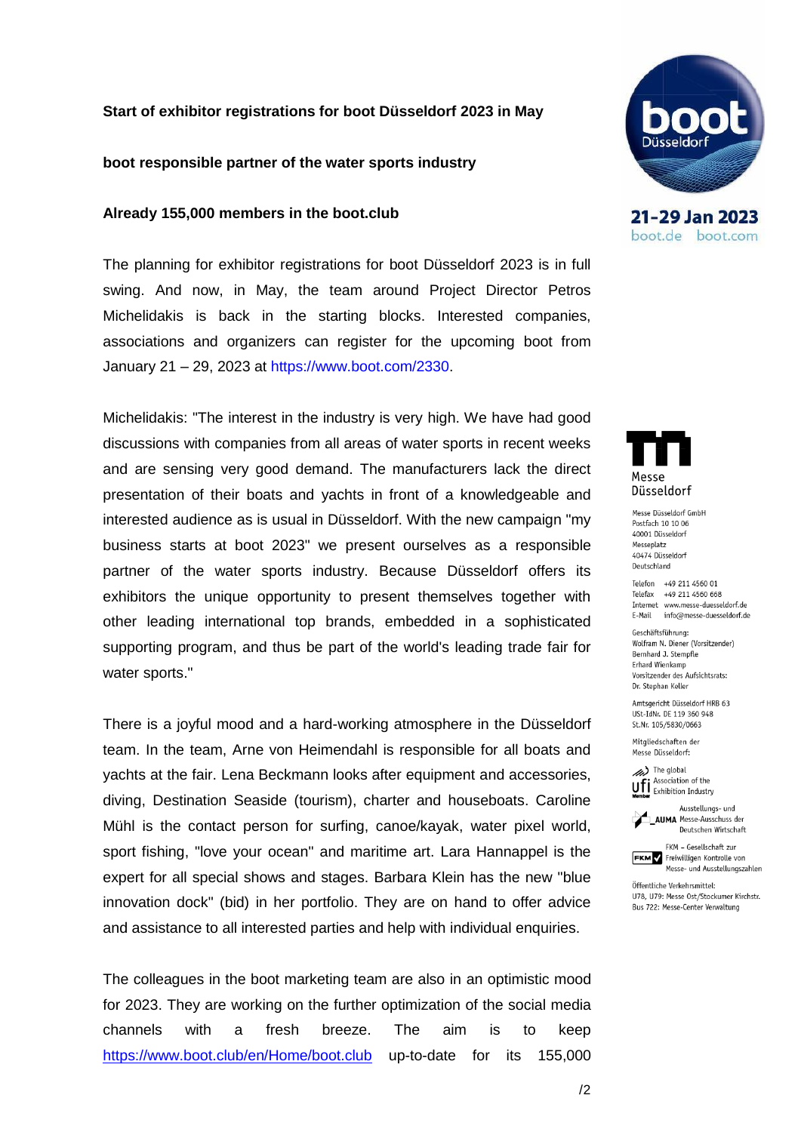## **Start of exhibitor registrations for boot Düsseldorf 2023 in May**

#### **boot responsible partner of the water sports industry**

#### **Already 155,000 members in the boot.club**

The planning for exhibitor registrations for boot Düsseldorf 2023 is in full swing. And now, in May, the team around Project Director Petros Michelidakis is back in the starting blocks. Interested companies, associations and organizers can register for the upcoming boot from January 21 – 29, 2023 at [https://www.boot.com/2330.](https://www.boot.com/2330)

Michelidakis: "The interest in the industry is very high. We have had good discussions with companies from all areas of water sports in recent weeks and are sensing very good demand. The manufacturers lack the direct presentation of their boats and yachts in front of a knowledgeable and interested audience as is usual in Düsseldorf. With the new campaign "my business starts at boot 2023" we present ourselves as a responsible partner of the water sports industry. Because Düsseldorf offers its exhibitors the unique opportunity to present themselves together with other leading international top brands, embedded in a sophisticated supporting program, and thus be part of the world's leading trade fair for water sports."

There is a joyful mood and a hard-working atmosphere in the Düsseldorf team. In the team, Arne von Heimendahl is responsible for all boats and yachts at the fair. Lena Beckmann looks after equipment and accessories, diving, Destination Seaside (tourism), charter and houseboats. Caroline Mühl is the contact person for surfing, canoe/kayak, water pixel world, sport fishing, "love your ocean" and maritime art. Lara Hannappel is the expert for all special shows and stages. Barbara Klein has the new "blue innovation dock" (bid) in her portfolio. They are on hand to offer advice and assistance to all interested parties and help with individual enquiries.

The colleagues in the boot marketing team are also in an optimistic mood for 2023. They are working on the further optimization of the social media channels with a fresh breeze. The aim is to keep <https://www.boot.club/en/Home/boot.club> up-to-date for its 155,000



21-29 Jan 2023 boot.de boot.com



Messe Düsseldorf GmbH Postfach 10 10 06 40001 Düsseldorf Messeplatz 40474 Düsseldorf Deutschland

Telefon +49 211 4560 01 Telefax +49 211 4560 668 Internet www.messe-duesseldorf.de E-Mail info@messe-duesseldorf.de

Geschäftsführung: Wolfram N. Diener (Vorsitzender) Bernhard J. Stempfle Erhard Wienkamp Vorsitzender des Aufsichtsrats: Dr. Stephan Keller

Amtsgericht Düsseldorf HRB 63 USt-IdNr. DE 119 360 948 St.Nr. 105/5830/0663

Mitaliedschaften der Messe Düsseldorf:

(A) The global Ufi Association of the



**AUMA** Messe-Ausschuss der Deutschen Wirtschaft

FKM - Gesellschaft zur **FKM** Freiwilligen Kontrolle von Messe- und Ausstellungszahlen

Öffentliche Verkehrsmittel: 1178 1179: Messe Ost/Stockumer Kirchstr. Bus 722: Messe-Center Verwaltung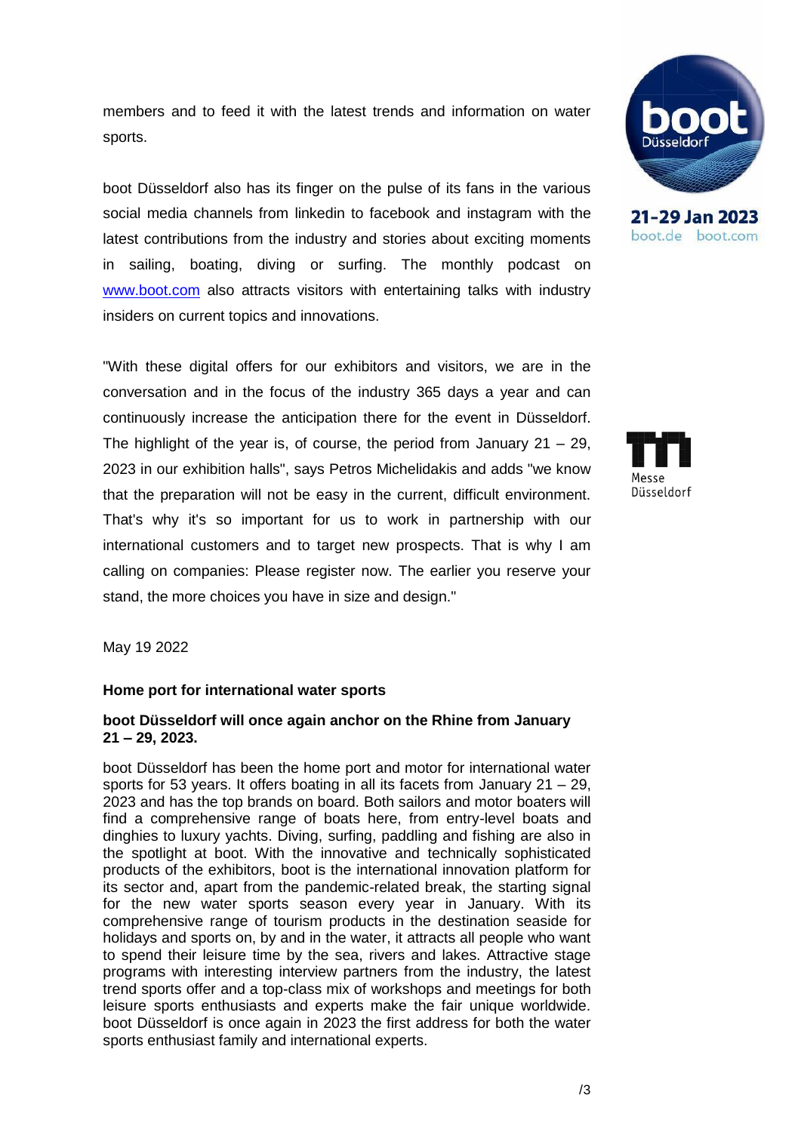members and to feed it with the latest trends and information on water sports.

boot Düsseldorf also has its finger on the pulse of its fans in the various social media channels from linkedin to facebook and instagram with the latest contributions from the industry and stories about exciting moments in sailing, boating, diving or surfing. The monthly podcast on [www.boot.com](http://www.boot.com/) also attracts visitors with entertaining talks with industry insiders on current topics and innovations.

"With these digital offers for our exhibitors and visitors, we are in the conversation and in the focus of the industry 365 days a year and can continuously increase the anticipation there for the event in Düsseldorf. The highlight of the year is, of course, the period from January  $21 - 29$ , 2023 in our exhibition halls", says Petros Michelidakis and adds "we know that the preparation will not be easy in the current, difficult environment. That's why it's so important for us to work in partnership with our international customers and to target new prospects. That is why I am calling on companies: Please register now. The earlier you reserve your stand, the more choices you have in size and design."

May 19 2022

# **Home port for international water sports**

## **boot Düsseldorf will once again anchor on the Rhine from January 21 – 29, 2023.**

boot Düsseldorf has been the home port and motor for international water sports for 53 years. It offers boating in all its facets from January 21 – 29, 2023 and has the top brands on board. Both sailors and motor boaters will find a comprehensive range of boats here, from entry-level boats and dinghies to luxury yachts. Diving, surfing, paddling and fishing are also in the spotlight at boot. With the innovative and technically sophisticated products of the exhibitors, boot is the international innovation platform for its sector and, apart from the pandemic-related break, the starting signal for the new water sports season every year in January. With its comprehensive range of tourism products in the destination seaside for holidays and sports on, by and in the water, it attracts all people who want to spend their leisure time by the sea, rivers and lakes. Attractive stage programs with interesting interview partners from the industry, the latest trend sports offer and a top-class mix of workshops and meetings for both leisure sports enthusiasts and experts make the fair unique worldwide. boot Düsseldorf is once again in 2023 the first address for both the water sports enthusiast family and international experts.



21-29 Jan 2023 boot.de boot.com